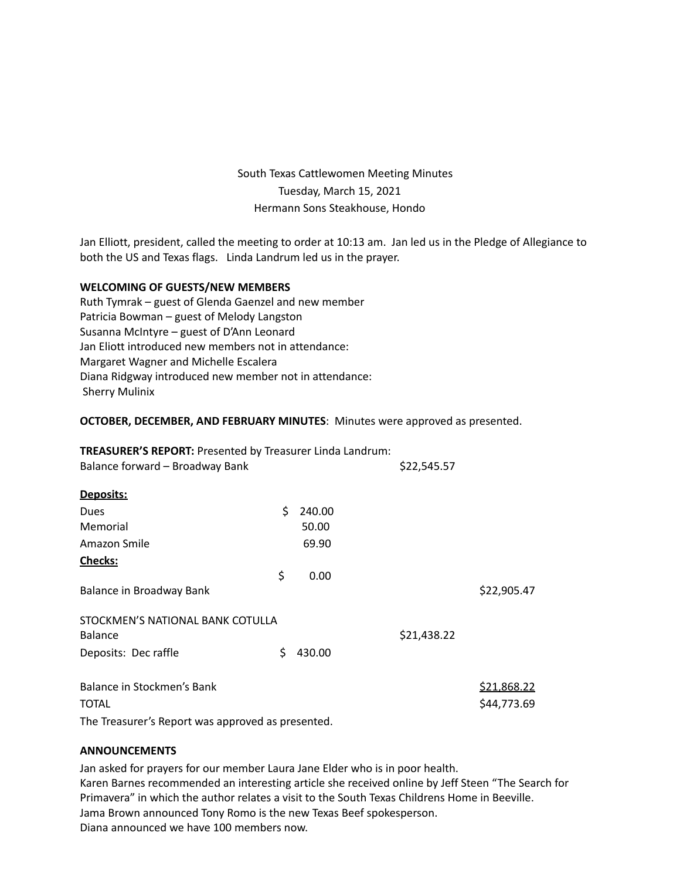# South Texas Cattlewomen Meeting Minutes Tuesday, March 15, 2021 Hermann Sons Steakhouse, Hondo

Jan Elliott, president, called the meeting to order at 10:13 am. Jan led us in the Pledge of Allegiance to both the US and Texas flags. Linda Landrum led us in the prayer.

#### **WELCOMING OF GUESTS/NEW MEMBERS**

Ruth Tymrak – guest of Glenda Gaenzel and new member Patricia Bowman – guest of Melody Langston Susanna McIntyre – guest of D'Ann Leonard Jan Eliott introduced new members not in attendance: Margaret Wagner and Michelle Escalera Diana Ridgway introduced new member not in attendance: Sherry Mulinix

#### **OCTOBER, DECEMBER, AND FEBRUARY MINUTES**: Minutes were approved as presented.

| <b>TREASURER'S REPORT: Presented by Treasurer Linda Landrum:</b> |    |        |             |                    |
|------------------------------------------------------------------|----|--------|-------------|--------------------|
| Balance forward - Broadway Bank                                  |    |        | \$22,545.57 |                    |
| Deposits:                                                        |    |        |             |                    |
| Dues                                                             | Š. | 240.00 |             |                    |
| Memorial                                                         |    | 50.00  |             |                    |
| Amazon Smile                                                     |    | 69.90  |             |                    |
| Checks:                                                          |    |        |             |                    |
|                                                                  | \$ | 0.00   |             |                    |
| Balance in Broadway Bank                                         |    |        |             | \$22,905.47        |
| STOCKMEN'S NATIONAL BANK COTULLA                                 |    |        |             |                    |
| <b>Balance</b>                                                   |    |        | \$21,438.22 |                    |
| Deposits: Dec raffle                                             | \$ | 430.00 |             |                    |
| Balance in Stockmen's Bank                                       |    |        |             | <u>\$21,868.22</u> |
| <b>TOTAL</b>                                                     |    |        |             | \$44,773.69        |
| The Treasurer's Report was approved as presented.                |    |        |             |                    |

#### **ANNOUNCEMENTS**

Jan asked for prayers for our member Laura Jane Elder who is in poor health. Karen Barnes recommended an interesting article she received online by Jeff Steen "The Search for Primavera" in which the author relates a visit to the South Texas Childrens Home in Beeville. Jama Brown announced Tony Romo is the new Texas Beef spokesperson. Diana announced we have 100 members now.